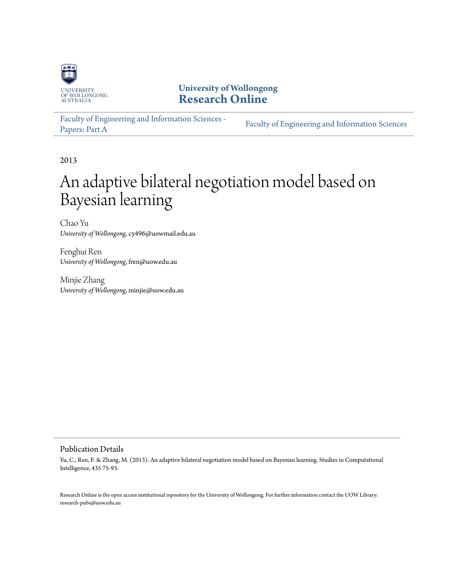

**University of Wollongong [Research Online](http://ro.uow.edu.au)**

[Faculty of Engineering and Information Sciences -](http://ro.uow.edu.au/eispapers) Paculty of Engineering and Information Sciences<br>[Papers: Part A](http://ro.uow.edu.au/eispapers)

2013

# An adaptive bilateral negotiation model based on Bayesian learning

Chao Yu *University of Wollongong*, cy496@uowmail.edu.au

Fenghui Ren *University of Wollongong*, fren@uow.edu.au

Minjie Zhang *University of Wollongong*, minjie@uow.edu.au

#### Publication Details

Yu, C., Ren, F. & Zhang, M. (2013). An adaptive bilateral negotiation model based on Bayesian learning. Studies in Computational Intelligence, 435 75-93.

Research Online is the open access institutional repository for the University of Wollongong. For further information contact the UOW Library: research-pubs@uow.edu.au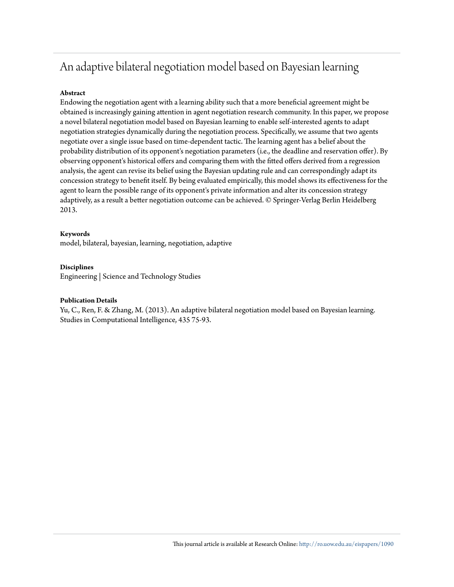## An adaptive bilateral negotiation model based on Bayesian learning

#### **Abstract**

Endowing the negotiation agent with a learning ability such that a more beneficial agreement might be obtained is increasingly gaining attention in agent negotiation research community. In this paper, we propose a novel bilateral negotiation model based on Bayesian learning to enable self-interested agents to adapt negotiation strategies dynamically during the negotiation process. Specifically, we assume that two agents negotiate over a single issue based on time-dependent tactic. The learning agent has a belief about the probability distribution of its opponent's negotiation parameters (i.e., the deadline and reservation offer). By observing opponent's historical offers and comparing them with the fitted offers derived from a regression analysis, the agent can revise its belief using the Bayesian updating rule and can correspondingly adapt its concession strategy to benefit itself. By being evaluated empirically, this model shows its effectiveness for the agent to learn the possible range of its opponent's private information and alter its concession strategy adaptively, as a result a better negotiation outcome can be achieved. © Springer-Verlag Berlin Heidelberg 2013.

#### **Keywords**

model, bilateral, bayesian, learning, negotiation, adaptive

#### **Disciplines**

Engineering | Science and Technology Studies

#### **Publication Details**

Yu, C., Ren, F. & Zhang, M. (2013). An adaptive bilateral negotiation model based on Bayesian learning. Studies in Computational Intelligence, 435 75-93.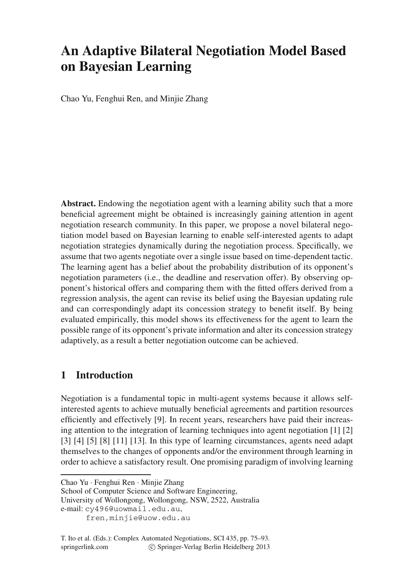## **An Adaptive Bilateral Negotiation Model Based on Bayesian Learning**

Chao Yu, Fenghui Ren, and Minjie Zhang

**Abstract.** Endowing the negotiation agent with a learning ability such that a more beneficial agreement might be obtained is increasingly gaining attention in agent negotiation research community. In this paper, we propose a novel bilateral negotiation model based on Bayesian learning to enable self-interested agents to adapt negotiation strategies dynamically during the negotiation process. Specifically, we assume that two agents negotiate over a single issue based on time-dependent tactic. The learning agent has a belief about the probability distribution of its opponent's negotiation parameters (i.e., the deadline and reservation offer). By observing opponent's historical offers and comparing them with the fitted offers derived from a regression analysis, the agent can revise its belief using the Bayesian updating rule and can correspondingly adapt its concession strategy to benefit itself. By being evaluated empirically, this model shows its effectiveness for the agent to learn the possible range of its opponent's private information and alter its concession strategy adaptively, as a result a better negotiation outcome can be achieved.

## **1 Introduction**

Negotiation is a fundamental topic in multi-agent systems because it allows selfinterested agents to achieve mutually beneficial agreements and partition resources efficiently and effectively [9]. In recent years, researchers have paid their increasing attention to the integration of learning techniques into agent negotiation [1] [2] [3] [4] [5] [8] [11] [13]. In this type of learning circumstances, agents need adapt themselves to the changes of opponents and/or the environment through learning in order to achieve a satisfactory result. One promising paradigm of involving learning

University of Wollongong, Wollongong, NSW, 2522, Australia

Chao Yu · Fenghui Ren · Minjie Zhang

School of Computer Science and Software Engineering,

e-mail: cy496@uowmail.edu.au,

fren,minjie@uow.edu.au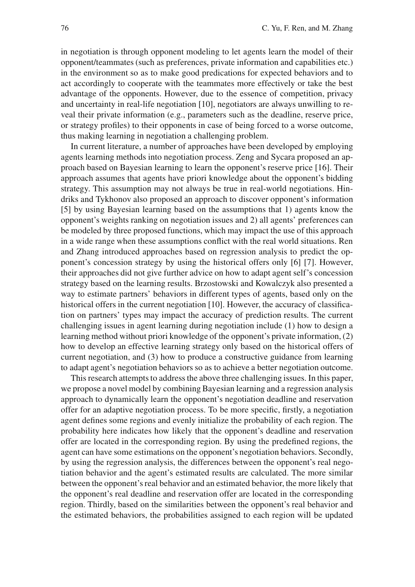in negotiation is through opponent modeling to let agents learn the model of their opponent/teammates (such as preferences, private information and capabilities etc.) in the environment so as to make good predications for expected behaviors and to act accordingly to cooperate with the teammates more effectively or take the best advantage of the opponents. However, due to the essence of competition, privacy and uncertainty in real-life negotiation [10], negotiators are always unwilling to reveal their private information (e.g., parameters such as the deadline, reserve price, or strategy profiles) to their opponents in case of being forced to a worse outcome, thus making learning in negotiation a challenging problem.

In current literature, a number of approaches have been developed by employing agents learning methods into negotiation process. Zeng and Sycara proposed an approach based on Bayesian learning to learn the opponent's reserve price [16]. Their approach assumes that agents have priori knowledge about the opponent's bidding strategy. This assumption may not always be true in real-world negotiations. Hindriks and Tykhonov also proposed an approach to discover opponent's information [5] by using Bayesian learning based on the assumptions that 1) agents know the opponent's weights ranking on negotiation issues and 2) all agents' preferences can be modeled by three proposed functions, which may impact the use of this approach in a wide range when these assumptions conflict with the real world situations. Ren and Zhang introduced approaches based on regression analysis to predict the opponent's concession strategy by using the historical offers only [6] [7]. However, their approaches did not give further advice on how to adapt agent self's concession strategy based on the learning results. Brzostowski and Kowalczyk also presented a way to estimate partners' behaviors in different types of agents, based only on the historical offers in the current negotiation [10]. However, the accuracy of classification on partners' types may impact the accuracy of prediction results. The current challenging issues in agent learning during negotiation include (1) how to design a learning method without priori knowledge of the opponent's private information, (2) how to develop an effective learning strategy only based on the historical offers of current negotiation, and (3) how to produce a constructive guidance from learning to adapt agent's negotiation behaviors so as to achieve a better negotiation outcome.

This research attempts to address the above three challenging issues. In this paper, we propose a novel model by combining Bayesian learning and a regression analysis approach to dynamically learn the opponent's negotiation deadline and reservation offer for an adaptive negotiation process. To be more specific, firstly, a negotiation agent defines some regions and evenly initialize the probability of each region. The probability here indicates how likely that the opponent's deadline and reservation offer are located in the corresponding region. By using the predefined regions, the agent can have some estimations on the opponent's negotiation behaviors. Secondly, by using the regression analysis, the differences between the opponent's real negotiation behavior and the agent's estimated results are calculated. The more similar between the opponent's real behavior and an estimated behavior, the more likely that the opponent's real deadline and reservation offer are located in the corresponding region. Thirdly, based on the similarities between the opponent's real behavior and the estimated behaviors, the probabilities assigned to each region will be updated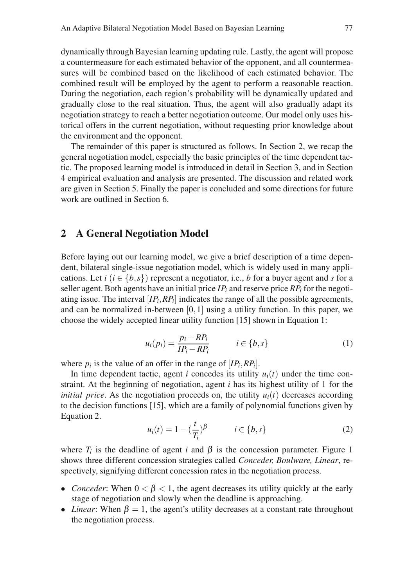dynamically through Bayesian learning updating rule. Lastly, the agent will propose a countermeasure for each estimated behavior of the opponent, and all countermeasures will be combined based on the likelihood of each estimated behavior. The combined result will be employed by the agent to perform a reasonable reaction. During the negotiation, each region's probability will be dynamically updated and gradually close to the real situation. Thus, the agent will also gradually adapt its negotiation strategy to reach a better negotiation outcome. Our model only uses historical offers in the current negotiation, without requesting prior knowledge about the environment and the opponent.

The remainder of this paper is structured as follows. In Section 2, we recap the general negotiation model, especially the basic principles of the time dependent tactic. The proposed learning model is introduced in detail in Section 3, and in Section 4 empirical evaluation and analysis are presented. The discussion and related work are given in Section 5. Finally the paper is concluded and some directions for future work are outlined in Section 6.

## **2 A General Negotiation Model**

Before laying out our learning model, we give a brief description of a time dependent, bilateral single-issue negotiation model, which is widely used in many applications. Let  $i$  ( $i \in \{b, s\}$ ) represent a negotiator, i.e., *b* for a buyer agent and *s* for a seller agent. Both agents have an initial price  $IP_i$  and reserve price  $RP_i$  for the negotiating issue. The interval [*IPi*,*RPi*] indicates the range of all the possible agreements, and can be normalized in-between [0,1] using a utility function. In this paper, we choose the widely accepted linear utility function [15] shown in Equation 1:

$$
u_i(p_i) = \frac{p_i - R P_i}{I P_i - R P_i} \qquad i \in \{b, s\}
$$
 (1)

where  $p_i$  is the value of an offer in the range of  $[IP_i, RP_i]$ .

In time dependent tactic, agent *i* concedes its utility  $u_i(t)$  under the time constraint. At the beginning of negotiation, agent *i* has its highest utility of 1 for the *initial price*. As the negotiation proceeds on, the utility  $u_i(t)$  decreases according to the decision functions [15], which are a family of polynomial functions given by Equation 2.

$$
u_i(t) = 1 - \left(\frac{t}{T_i}\right)^{\beta} \qquad i \in \{b, s\}
$$
 (2)

where  $T_i$  is the deadline of agent *i* and  $\beta$  is the concession parameter. Figure 1 shows three different concession strategies called *Conceder, Boulware, Linear*, respectively, signifying different concession rates in the negotiation process.

- *Conceder*: When  $0 < \beta < 1$ , the agent decreases its utility quickly at the early stage of negotiation and slowly when the deadline is approaching.
- *Linear*: When  $\beta = 1$ , the agent's utility decreases at a constant rate throughout the negotiation process.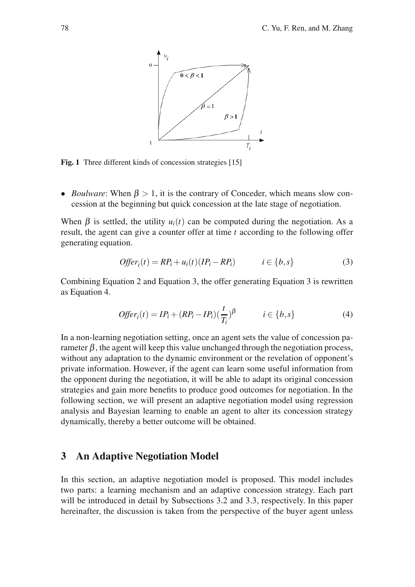

**Fig. 1** Three different kinds of concession strategies [15]

• *Boulware*: When  $\beta > 1$ , it is the contrary of Conceder, which means slow concession at the beginning but quick concession at the late stage of negotiation.

When  $\beta$  is settled, the utility  $u_i(t)$  can be computed during the negotiation. As a result, the agent can give a counter offer at time *t* according to the following offer generating equation.

$$
Offer_i(t) = RP_i + u_i(t)(IP_i - RP_i) \qquad i \in \{b, s\}
$$
 (3)

Combining Equation 2 and Equation 3, the offer generating Equation 3 is rewritten as Equation 4.

$$
Offer_i(t) = IP_i + (RP_i - IP_i)(\frac{t}{T_i})^{\beta} \qquad i \in \{b, s\}
$$
 (4)

In a non-learning negotiation setting, once an agent sets the value of concession parameter  $\beta$ , the agent will keep this value unchanged through the negotiation process, without any adaptation to the dynamic environment or the revelation of opponent's private information. However, if the agent can learn some useful information from the opponent during the negotiation, it will be able to adapt its original concession strategies and gain more benefits to produce good outcomes for negotiation. In the following section, we will present an adaptive negotiation model using regression analysis and Bayesian learning to enable an agent to alter its concession strategy dynamically, thereby a better outcome will be obtained.

## **3 An Adaptive Negotiation Model**

In this section, an adaptive negotiation model is proposed. This model includes two parts: a learning mechanism and an adaptive concession strategy. Each part will be introduced in detail by Subsections 3.2 and 3.3, respectively. In this paper hereinafter, the discussion is taken from the perspective of the buyer agent unless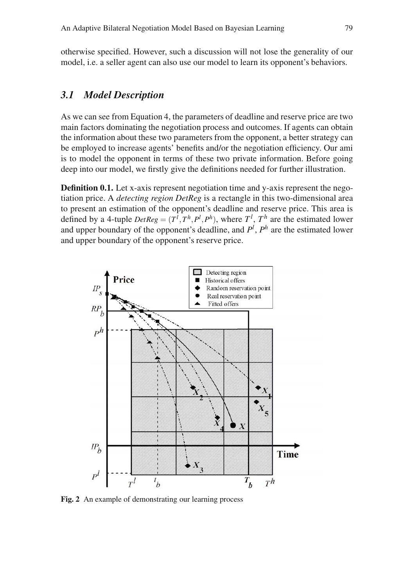otherwise specified. However, such a discussion will not lose the generality of our model, i.e. a seller agent can also use our model to learn its opponent's behaviors.

## *3.1 Model Description*

As we can see from Equation 4, the parameters of deadline and reserve price are two main factors dominating the negotiation process and outcomes. If agents can obtain the information about these two parameters from the opponent, a better strategy can be employed to increase agents' benefits and/or the negotiation efficiency. Our ami is to model the opponent in terms of these two private information. Before going deep into our model, we firstly give the definitions needed for further illustration.

**Definition 0.1.** Let x-axis represent negotiation time and y-axis represent the negotiation price. A *detecting region DetReg* is a rectangle in this two-dimensional area to present an estimation of the opponent's deadline and reserve price. This area is defined by a 4-tuple  $DetReg = (T^l, T^h, P^l, P^h)$ , where  $T^l$ ,  $T^h$  are the estimated lower and upper boundary of the opponent's deadline, and *P<sup>l</sup>* , *P<sup>h</sup>* are the estimated lower and upper boundary of the opponent's reserve price.



**Fig. 2** An example of demonstrating our learning process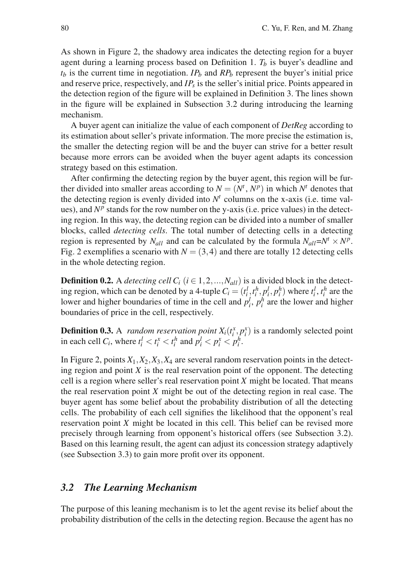As shown in Figure 2, the shadowy area indicates the detecting region for a buyer agent during a learning process based on Definition 1.  $T_b$  is buyer's deadline and  $t_b$  is the current time in negotiation.  $IP_b$  and  $RP_b$  represent the buyer's initial price and reserve price, respectively, and *IPs* is the seller's initial price. Points appeared in the detection region of the figure will be explained in Definition 3. The lines shown in the figure will be explained in Subsection 3.2 during introducing the learning mechanism.

A buyer agent can initialize the value of each component of *DetReg* according to its estimation about seller's private information. The more precise the estimation is, the smaller the detecting region will be and the buyer can strive for a better result because more errors can be avoided when the buyer agent adapts its concession strategy based on this estimation.

After confirming the detecting region by the buyer agent, this region will be further divided into smaller areas according to  $N = (N^t, N^p)$  in which  $N^t$  denotes that the detecting region is evenly divided into  $N<sup>t</sup>$  columns on the x-axis (i.e. time values), and *N<sup>p</sup>* stands for the row number on the y-axis (i.e. price values) in the detecting region. In this way, the detecting region can be divided into a number of smaller blocks, called *detecting cells*. The total number of detecting cells in a detecting region is represented by  $N_{all}$  and can be calculated by the formula  $N_{all}=N^t \times N^p$ . Fig. 2 exemplifies a scenario with  $N = (3, 4)$  and there are totally 12 detecting cells in the whole detecting region.

**Definition 0.2.** A *detecting cell*  $C_i$  ( $i \in 1, 2, ..., N_{all}$ ) is a divided block in the detecting region, which can be denoted by a 4-tuple  $C_i = (t_i^l, t_i^h, p_i^l, p_i^h)$  where  $t_i^l, t_i^h$  are the lower and higher boundaries of time in the cell and  $p_i^l$ ,  $p_i^h$  are the lower and higher boundaries of price in the cell, respectively.

**Definition 0.3.** A *random reservation point*  $X_i(t_i^x, p_i^x)$  is a randomly selected point in each cell  $C_i$ , where  $t_i^l < t_i^x < t_i^h$  and  $p_i^l < p_i^x < p_i^h$ .

In Figure 2, points  $X_1, X_2, X_3, X_4$  are several random reservation points in the detecting region and point  $X$  is the real reservation point of the opponent. The detecting cell is a region where seller's real reservation point *X* might be located. That means the real reservation point *X* might be out of the detecting region in real case. The buyer agent has some belief about the probability distribution of all the detecting cells. The probability of each cell signifies the likelihood that the opponent's real reservation point *X* might be located in this cell. This belief can be revised more precisely through learning from opponent's historical offers (see Subsection 3.2). Based on this learning result, the agent can adjust its concession strategy adaptively (see Subsection 3.3) to gain more profit over its opponent.

## *3.2 The Learning Mechanism*

The purpose of this leaning mechanism is to let the agent revise its belief about the probability distribution of the cells in the detecting region. Because the agent has no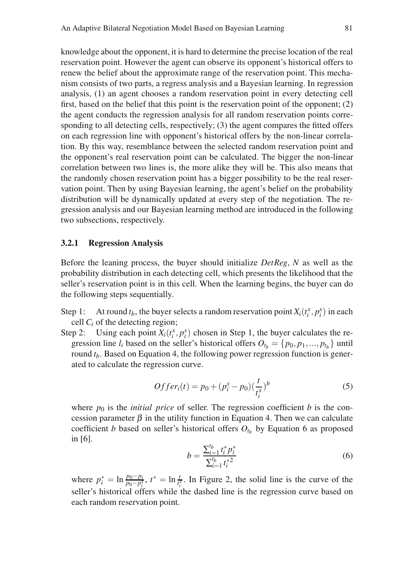knowledge about the opponent, it is hard to determine the precise location of the real reservation point. However the agent can observe its opponent's historical offers to renew the belief about the approximate range of the reservation point. This mechanism consists of two parts, a regress analysis and a Bayesian learning. In regression analysis, (1) an agent chooses a random reservation point in every detecting cell first, based on the belief that this point is the reservation point of the opponent; (2) the agent conducts the regression analysis for all random reservation points corresponding to all detecting cells, respectively; (3) the agent compares the fitted offers on each regression line with opponent's historical offers by the non-linear correlation. By this way, resemblance between the selected random reservation point and the opponent's real reservation point can be calculated. The bigger the non-linear correlation between two lines is, the more alike they will be. This also means that the randomly chosen reservation point has a bigger possibility to be the real reservation point. Then by using Bayesian learning, the agent's belief on the probability distribution will be dynamically updated at every step of the negotiation. The regression analysis and our Bayesian learning method are introduced in the following two subsections, respectively.

#### **3.2.1 Regression Analysis**

Before the leaning process, the buyer should initialize *DetReg*, *N* as well as the probability distribution in each detecting cell, which presents the likelihood that the seller's reservation point is in this cell. When the learning begins, the buyer can do the following steps sequentially.

- Step 1: At round  $t_b$ , the buyer selects a random reservation point  $X_i(t_i^x, p_i^x)$  in each cell *Ci* of the detecting region;
- Step 2: Using each point  $X_i(t_i^x, p_i^x)$  chosen in Step 1, the buyer calculates the regression line  $l_i$  based on the seller's historical offers  $O_{t_b} = \{p_0, p_1, ..., p_{t_b}\}\$  until round  $t_b$ . Based on Equation 4, the following power regression function is generated to calculate the regression curve.

$$
Offer_i(t) = p_0 + (p_i^x - p_0)(\frac{t}{t_i^x})^b
$$
\n(5)

where  $p_0$  is the *initial price* of seller. The regression coefficient *b* is the concession parameter  $\beta$  in the utility function in Equation 4. Then we can calculate coefficient *b* based on seller's historical offers  $O_{t_b}$  by Equation 6 as proposed in [6].

$$
b = \frac{\sum_{i=1}^{t_b} t_i^* p_i^*}{\sum_{i=1}^{t_b} t_i^{*2}} \tag{6}
$$

where  $p_i^* = \ln \frac{p_0 - p_i}{p_0 - p_i^*}$ ,  $t^* = \ln \frac{t}{t_i^*}$ . In Figure 2, the solid line is the curve of the seller's historical offers while the dashed line is the regression curve based on each random reservation point.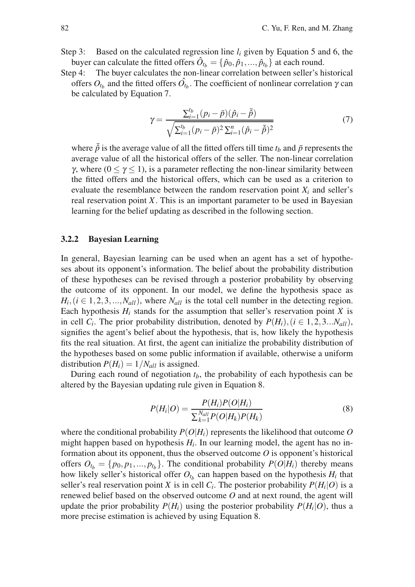- Step 3: Based on the calculated regression line *li* given by Equation 5 and 6, the buyer can calculate the fitted offers  $\hat{O}_{t_b} = {\hat{p}_0, \hat{p}_1, ..., \hat{p}_{t_b}}$  at each round.<br>Step 4: The buyer calculates the non-linear correlation between seller's h
- The buyer calculates the non-linear correlation between seller's historical offers  $O_{t_b}$  and the fitted offers  $\hat{O}_{t_b}$ . The coefficient of nonlinear correlation  $\gamma$  can be calculated by Equation 7.

$$
\gamma = \frac{\sum_{i=1}^{t_b} (p_i - \bar{p})(\hat{p}_i - \bar{\hat{p}})}{\sqrt{\sum_{i=1}^{t_b} (p_i - \bar{p})^2 \sum_{i=1}^{n} (\hat{p}_i - \bar{\hat{p}})^2}}
$$
(7)

where  $\bar{\hat{p}}$  is the average value of all the fitted offers till time  $t_b$  and  $\bar{p}$  represents the average value of all the historical offers of the seller. The non-linear correlation γ, where  $(0 < y < 1)$ , is a parameter reflecting the non-linear similarity between the fitted offers and the historical offers, which can be used as a criterion to evaluate the resemblance between the random reservation point  $X_i$  and seller's real reservation point *X*. This is an important parameter to be used in Bayesian learning for the belief updating as described in the following section.

#### **3.2.2 Bayesian Learning**

In general, Bayesian learning can be used when an agent has a set of hypotheses about its opponent's information. The belief about the probability distribution of these hypotheses can be revised through a posterior probability by observing the outcome of its opponent. In our model, we define the hypothesis space as  $H_i$ ,  $(i \in 1, 2, 3, \ldots, N_{all})$ , where  $N_{all}$  is the total cell number in the detecting region. Each hypothesis  $H_i$  stands for the assumption that seller's reservation point *X* is in cell *C<sub>i</sub>*. The prior probability distribution, denoted by  $P(H_i)$ , ( $i \in 1, 2, 3...N_{all}$ ), signifies the agent's belief about the hypothesis, that is, how likely the hypothesis fits the real situation. At first, the agent can initialize the probability distribution of the hypotheses based on some public information if available, otherwise a uniform distribution  $P(H_i) = 1/N_{all}$  is assigned.

During each round of negotiation  $t<sub>b</sub>$ , the probability of each hypothesis can be altered by the Bayesian updating rule given in Equation 8.

$$
P(H_i|O) = \frac{P(H_i)P(O|H_i)}{\sum_{k=1}^{N_{all}} P(O|H_k)P(H_k)}
$$
(8)

where the conditional probability  $P(O|H_i)$  represents the likelihood that outcome *O* might happen based on hypothesis  $H_i$ . In our learning model, the agent has no information about its opponent, thus the observed outcome *O* is opponent's historical offers  $O_{t_b} = \{p_0, p_1, ..., p_{t_b}\}$ . The conditional probability  $P(O|H_i)$  thereby means how likely seller's historical offer  $O_{t_b}$  can happen based on the hypothesis  $H_i$  that seller's real reservation point *X* is in cell  $C_i$ . The posterior probability  $P(H_i|O)$  is a renewed belief based on the observed outcome *O* and at next round, the agent will update the prior probability  $P(H_i)$  using the posterior probability  $P(H_i|O)$ , thus a more precise estimation is achieved by using Equation 8.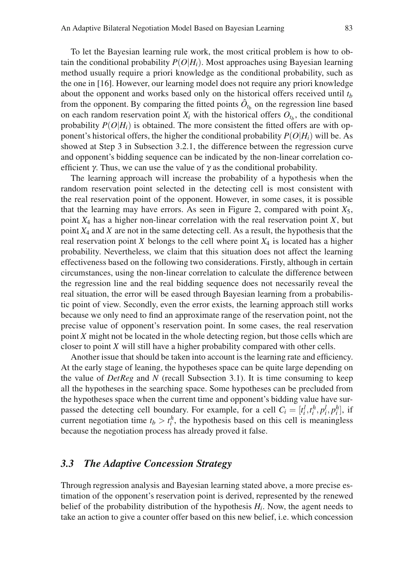To let the Bayesian learning rule work, the most critical problem is how to obtain the conditional probability  $P(O|H_i)$ . Most approaches using Bayesian learning method usually require a priori knowledge as the conditional probability, such as the one in [16]. However, our learning model does not require any priori knowledge about the opponent and works based only on the historical offers received until *tb* from the opponent. By comparing the fitted points  $\hat{O}_{t_b}$  on the regression line based on each random reservation point  $X_i$  with the historical offers  $O_{t_b}$ , the conditional probability  $P(O|H_i)$  is obtained. The more consistent the fitted offers are with opponent's historical offers, the higher the conditional probability  $P(O|H_i)$  will be. As showed at Step 3 in Subsection 3.2.1, the difference between the regression curve and opponent's bidding sequence can be indicated by the non-linear correlation coefficient  $\gamma$ . Thus, we can use the value of  $\gamma$  as the conditional probability.

The learning approach will increase the probability of a hypothesis when the random reservation point selected in the detecting cell is most consistent with the real reservation point of the opponent. However, in some cases, it is possible that the learning may have errors. As seen in Figure 2, compared with point  $X_5$ , point  $X_4$  has a higher non-linear correlation with the real reservation point  $X$ , but point *X*<sup>4</sup> and *X* are not in the same detecting cell. As a result, the hypothesis that the real reservation point *X* belongs to the cell where point  $X_4$  is located has a higher probability. Nevertheless, we claim that this situation does not affect the learning effectiveness based on the following two considerations. Firstly, although in certain circumstances, using the non-linear correlation to calculate the difference between the regression line and the real bidding sequence does not necessarily reveal the real situation, the error will be eased through Bayesian learning from a probabilistic point of view. Secondly, even the error exists, the learning approach still works because we only need to find an approximate range of the reservation point, not the precise value of opponent's reservation point. In some cases, the real reservation point *X* might not be located in the whole detecting region, but those cells which are closer to point *X* will still have a higher probability compared with other cells.

Another issue that should be taken into account is the learning rate and efficiency. At the early stage of leaning, the hypotheses space can be quite large depending on the value of *DetReg* and *N* (recall Subsection 3.1). It is time consuming to keep all the hypotheses in the searching space. Some hypotheses can be precluded from the hypotheses space when the current time and opponent's bidding value have surpassed the detecting cell boundary. For example, for a cell  $C_i = [t_i^l, t_i^h, p_i^l, p_i^h]$ , if current negotiation time  $t_b > t_i^h$ , the hypothesis based on this cell is meaningless because the negotiation process has already proved it false.

## *3.3 The Adaptive Concession Strategy*

Through regression analysis and Bayesian learning stated above, a more precise estimation of the opponent's reservation point is derived, represented by the renewed belief of the probability distribution of the hypothesis *Hi*. Now, the agent needs to take an action to give a counter offer based on this new belief, i.e. which concession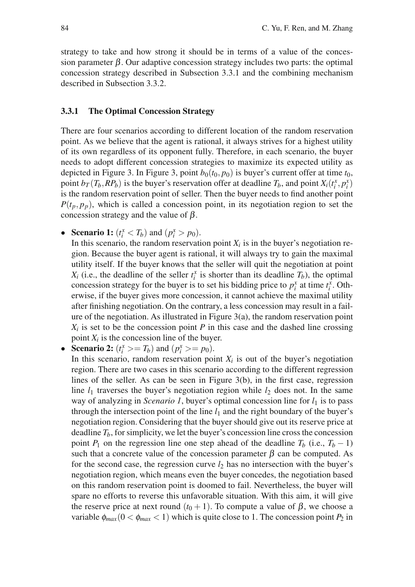strategy to take and how strong it should be in terms of a value of the concession parameter  $\beta$ . Our adaptive concession strategy includes two parts: the optimal concession strategy described in Subsection 3.3.1 and the combining mechanism described in Subsection 3.3.2.

#### **3.3.1 The Optimal Concession Strategy**

There are four scenarios according to different location of the random reservation point. As we believe that the agent is rational, it always strives for a highest utility of its own regardless of its opponent fully. Therefore, in each scenario, the buyer needs to adopt different concession strategies to maximize its expected utility as depicted in Figure 3. In Figure 3, point  $b_0(t_0, p_0)$  is buyer's current offer at time  $t_0$ , point  $b_T(T_b, RP_b)$  is the buyer's reservation offer at deadline  $T_b$ , and point  $X_i(t_i^x, p_i^x)$ is the random reservation point of seller. Then the buyer needs to find another point  $P(t_p, p_p)$ , which is called a concession point, in its negotiation region to set the concession strategy and the value of  $β$ .

• **Scenario 1:**  $(t_i^x < T_b)$  and  $(p_i^x > p_0)$ .

In this scenario, the random reservation point  $X_i$  is in the buyer's negotiation region. Because the buyer agent is rational, it will always try to gain the maximal utility itself. If the buyer knows that the seller will quit the negotiation at point  $X_i$  (i.e., the deadline of the seller  $t_i^x$  is shorter than its deadline  $T_b$ ), the optimal concession strategy for the buyer is to set his bidding price to  $p_i^x$  at time  $t_i^x$ . Otherwise, if the buyer gives more concession, it cannot achieve the maximal utility after finishing negotiation. On the contrary, a less concession may result in a failure of the negotiation. As illustrated in Figure 3(a), the random reservation point  $X_i$  is set to be the concession point  $P$  in this case and the dashed line crossing point  $X_i$  is the concession line of the buyer.

```
• Scenario 2: (t_i^x \geq T_b) and (p_i^x \geq P_0).
In this scenario, random reservation point X_i is out of the buyer's negotiation
region. There are two cases in this scenario according to the different regression
lines of the seller. As can be seen in Figure 3(b), in the first case, regression
line l_1 traverses the buyer's negotiation region while l_2 does not. In the same
 way of analyzing in Scenario 1, buyer's optimal concession line for l_1 is to pass
 through the intersection point of the line l_1 and the right boundary of the buyer's
negotiation region. Considering that the buyer should give out its reserve price at
deadline T_b, for simplicity, we let the buyer's concession line cross the concession
point P<sub>1</sub> on the regression line one step ahead of the deadline T_b (i.e., T_b - 1)
such that a concrete value of the concession parameter \beta can be computed. As
 for the second case, the regression curve l_2 has no intersection with the buyer's
 negotiation region, which means even the buyer concedes, the negotiation based
on this random reservation point is doomed to fail. Nevertheless, the buyer will
 spare no efforts to reverse this unfavorable situation. With this aim, it will give
 the reserve price at next round (t_0 + 1). To compute a value of \beta, we choose a
 variable \phi_{max}(0 < \phi_{max} < 1) which is quite close to 1. The concession point P_2 in
```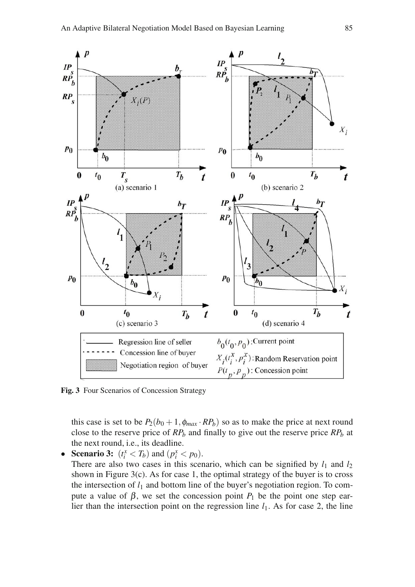

**Fig. 3** Four Scenarios of Concession Strategy

this case is set to be  $P_2(b_0 + 1, \phi_{max} \cdot RP_b)$  so as to make the price at next round close to the reserve price of  $RP_b$  and finally to give out the reserve price  $RP_b$  at the next round, i.e., its deadline.

• **Scenario 3:**  $(t_i^x < T_b)$  and  $(p_i^x < p_0)$ .

There are also two cases in this scenario, which can be signified by  $l_1$  and  $l_2$ shown in Figure 3(c). As for case 1, the optimal strategy of the buyer is to cross the intersection of  $l_1$  and bottom line of the buyer's negotiation region. To compute a value of  $β$ , we set the concession point  $P_1$  be the point one step earlier than the intersection point on the regression line *l*1. As for case 2, the line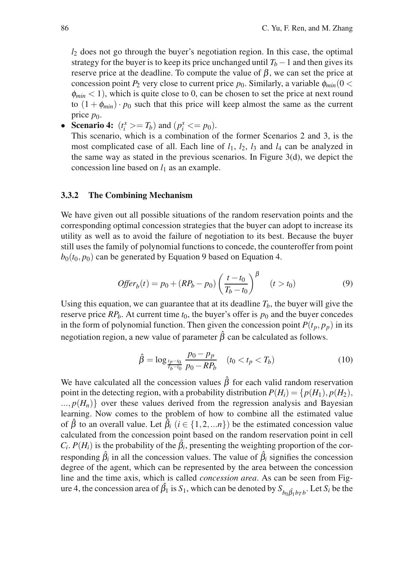*l*<sup>2</sup> does not go through the buyer's negotiation region. In this case, the optimal strategy for the buyer is to keep its price unchanged until  $T_b - 1$  and then gives its reserve price at the deadline. To compute the value of  $\beta$ , we can set the price at concession point  $P_2$  very close to current price  $p_0$ . Similarly, a variable  $\phi_{min}(0 <$  $\phi_{min}$  < 1), which is quite close to 0, can be chosen to set the price at next round to  $(1 + \phi_{min}) \cdot p_0$  such that this price will keep almost the same as the current price  $p_0$ .

• **Scenario 4:**  $(t_i^x) = T_b$  and  $(p_i^x) = p_0$ .

This scenario, which is a combination of the former Scenarios 2 and 3, is the most complicated case of all. Each line of  $l_1$ ,  $l_2$ ,  $l_3$  and  $l_4$  can be analyzed in the same way as stated in the previous scenarios. In Figure 3(d), we depict the concession line based on  $l_1$  as an example.

#### **3.3.2 The Combining Mechanism**

We have given out all possible situations of the random reservation points and the corresponding optimal concession strategies that the buyer can adopt to increase its utility as well as to avoid the failure of negotiation to its best. Because the buyer still uses the family of polynomial functions to concede, the counteroffer from point  $b_0(t_0, p_0)$  can be generated by Equation 9 based on Equation 4.

$$
Offer_b(t) = p_0 + (RP_b - p_0) \left(\frac{t - t_0}{T_b - t_0}\right)^{\beta} \quad (t > t_0)
$$
\n(9)

Using this equation, we can guarantee that at its deadline  $T_b$ , the buyer will give the reserve price  $RP_b$ . At current time  $t_0$ , the buyer's offer is  $p_0$  and the buyer concedes in the form of polynomial function. Then given the concession point  $P(t_p, p_p)$  in its negotiation region, a new value of parameter  $\hat{\beta}$  can be calculated as follows.

$$
\hat{\beta} = \log_{\frac{tp-t_0}{T_b-t_0}} \frac{p_0 - p_p}{p_0 - RP_b} \quad (t_0 < t_p < T_b) \tag{10}
$$

We have calculated all the concession values  $\hat{\beta}$  for each valid random reservation point in the detecting region, with a probability distribution  $P(H_i) = \{p(H_1), p(H_2)\}$ ,  $..., p(H_n)$  over these values derived from the regression analysis and Bayesian learning. Now comes to the problem of how to combine all the estimated value of  $\hat{\beta}$  to an overall value. Let  $\hat{\beta}_i$  ( $i \in \{1, 2, ... n\}$ ) be the estimated concession value calculated from the concession point based on the random reservation point in cell  $C_i$ .  $P(H_i)$  is the probability of the  $\hat{\beta}_i$ , presenting the weighting proportion of the corresponding  $\hat{\beta}_i$  in all the concession values. The value of  $\hat{\beta}_i$  signifies the concession degree of the agent, which can be represented by the area between the concession line and the time axis, which is called *concession area*. As can be seen from Figure 4, the concession area of  $\hat{\beta}_1$  is  $S_1$ , which can be denoted by  $S_{b_0} \hat{\beta}_1 b_T b$ . Let  $S_i$  be the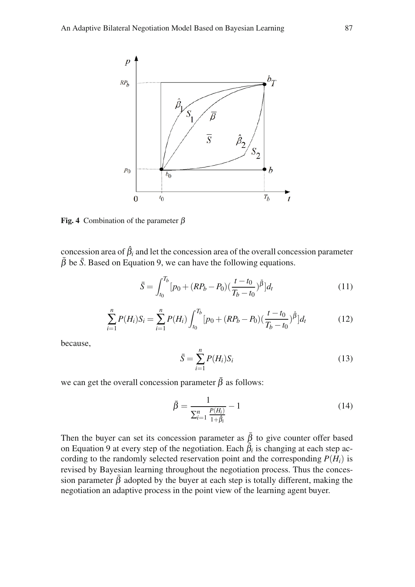

**Fig. 4** Combination of the parameter  $\beta$ 

concession area of  $\hat{\beta}_i$  and let the concession area of the overall concession parameter  $\bar{\beta}$  be  $\bar{S}$ . Based on Equation 9, we can have the following equations.  $\bar{\beta}$  be  $\bar{S}$ . Based on Equation 9, we can have the following equations.

$$
\bar{S} = \int_{t_0}^{T_b} [p_0 + (RP_b - P_0)(\frac{t - t_0}{T_b - t_0})^{\bar{\beta}}] d_t
$$
 (11)

$$
\sum_{i=1}^{n} P(H_i) S_i = \sum_{i=1}^{n} P(H_i) \int_{t_0}^{T_b} [p_0 + (RP_b - P_0) (\frac{t - t_0}{T_b - t_0})^{\hat{\beta}}] d_t
$$
 (12)

because,

$$
\bar{S} = \sum_{i=1}^{n} P(H_i) S_i
$$
\n(13)

we can get the overall concession parameter  $\bar{\beta}$  as follows:

$$
\bar{\beta} = \frac{1}{\sum_{i=1}^{n} \frac{P(H_i)}{1 + \hat{\beta}_i}} - 1
$$
\n(14)

Then the buyer can set its concession parameter as  $\bar{\beta}$  to give counter offer based on Equation 9 at every step of the negotiation. Each  $\hat{\beta}_i$  is changing at each step according to the randomly selected reservation point and the corresponding  $P(H_i)$  is revised by Bayesian learning throughout the negotiation process. Thus the concession parameter  $\bar{\beta}$  adopted by the buyer at each step is totally different, making the negotiation an adaptive process in the point view of the learning agent buyer.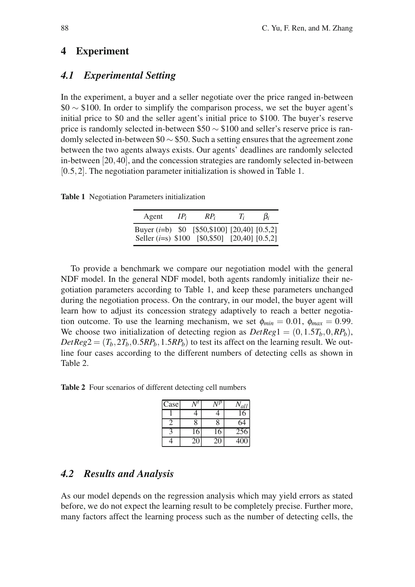## **4 Experiment**

## *4.1 Experimental Setting*

In the experiment, a buyer and a seller negotiate over the price ranged in-between  $$0 \sim $100$ . In order to simplify the comparison process, we set the buyer agent's initial price to \$0 and the seller agent's initial price to \$100. The buyer's reserve price is randomly selected in-between  $$50 \sim $100$  and seller's reserve price is randomly selected in-between  $$0 \sim $50$ . Such a setting ensures that the agreement zone between the two agents always exists. Our agents' deadlines are randomly selected in-between [20,40], and the concession strategies are randomly selected in-between [0.5,2]. The negotiation parameter initialization is showed in Table 1.

**Table 1** Negotiation Parameters initialization

| Agent                                             | $IP_i$ | $RP_i$ | $T_i$ | B; |
|---------------------------------------------------|--------|--------|-------|----|
| Buyer $(i=6)$ \$0 [\$50,\$100] [20,40] [0.5,2]    |        |        |       |    |
| Seller ( $i=$ s) \$100 [\$0,\$50] [20,40] [0.5,2] |        |        |       |    |

To provide a benchmark we compare our negotiation model with the general NDF model. In the general NDF model, both agents randomly initialize their negotiation parameters according to Table 1, and keep these parameters unchanged during the negotiation process. On the contrary, in our model, the buyer agent will learn how to adjust its concession strategy adaptively to reach a better negotiation outcome. To use the learning mechanism, we set  $\phi_{min} = 0.01$ ,  $\phi_{max} = 0.99$ . We choose two initialization of detecting region as  $DetReg1 = (0, 1.5T_b, 0, RP_b)$ ,  $DetReg2 = (T_b, 2T_b, 0.5RP_b, 1.5RP_b)$  to test its affect on the learning result. We outline four cases according to the different numbers of detecting cells as shown in Table 2.

**Table 2** Four scenarios of different detecting cell numbers

| Case |      |    | $N_{all}$ |
|------|------|----|-----------|
|      | 4    |    | 16        |
|      | 8    |    | 64        |
|      | l 6  | 16 | 256       |
|      | ו זי | 20 |           |

## *4.2 Results and Analysis*

As our model depends on the regression analysis which may yield errors as stated before, we do not expect the learning result to be completely precise. Further more, many factors affect the learning process such as the number of detecting cells, the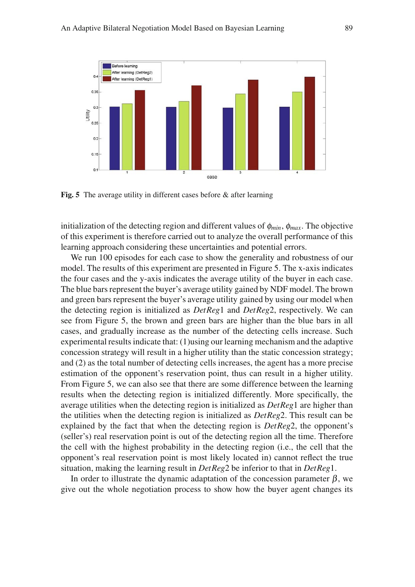

**Fig. 5** The average utility in different cases before & after learning

initialization of the detecting region and different values of φ*min*, φ*max*. The objective of this experiment is therefore carried out to analyze the overall performance of this learning approach considering these uncertainties and potential errors.

We run 100 episodes for each case to show the generality and robustness of our model. The results of this experiment are presented in Figure 5. The x-axis indicates the four cases and the y-axis indicates the average utility of the buyer in each case. The blue bars represent the buyer's average utility gained by NDF model. The brown and green bars represent the buyer's average utility gained by using our model when the detecting region is initialized as *DetReg*1 and *DetReg*2, respectively. We can see from Figure 5, the brown and green bars are higher than the blue bars in all cases, and gradually increase as the number of the detecting cells increase. Such experimental results indicate that: (1)using our learning mechanism and the adaptive concession strategy will result in a higher utility than the static concession strategy; and (2) as the total number of detecting cells increases, the agent has a more precise estimation of the opponent's reservation point, thus can result in a higher utility. From Figure 5, we can also see that there are some difference between the learning results when the detecting region is initialized differently. More specifically, the average utilities when the detecting region is initialized as *DetReg*1 are higher than the utilities when the detecting region is initialized as *DetReg*2. This result can be explained by the fact that when the detecting region is *DetReg*2, the opponent's (seller's) real reservation point is out of the detecting region all the time. Therefore the cell with the highest probability in the detecting region (i.e., the cell that the opponent's real reservation point is most likely located in) cannot reflect the true situation, making the learning result in *DetReg*2 be inferior to that in *DetReg*1.

In order to illustrate the dynamic adaptation of the concession parameter  $\beta$ , we give out the whole negotiation process to show how the buyer agent changes its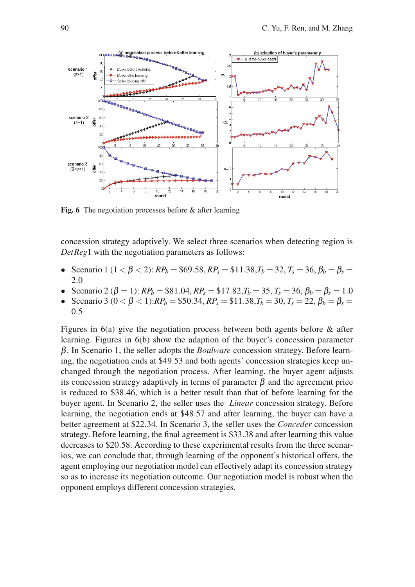

**Fig. 6** The negotiation processes before & after learning

concession strategy adaptively. We select three scenarios when detecting region is *DetReg*1 with the negotiation parameters as follows:

- **Scenario** 1 (1 < β < 2):  $RP_b$  = \$69.58,  $RP_s$  = \$11.38,  $T_b$  = 32,  $T_s$  = 36,  $β_b$  =  $β_s$  = 2.0
- Scenario 2 ( $\beta = 1$ ):  $RP_b = $81.04$ ,  $RP_s = $17.82$ ,  $T_b = 35$ ,  $T_s = 36$ ,  $\beta_b = \beta_s = 1.0$
- Scenario 3 ( $0 < \beta < 1$ ): $RP_b = $50.34$ ,  $RP_s = $11.38$ ,  $T_b = 30$ ,  $T_s = 22$ ,  $\beta_b = \beta_s =$ 0.5

Figures in 6(a) give the negotiation process between both agents before & after learning. Figures in 6(b) show the adaption of the buyer's concession parameter β. In Scenario 1, the seller adopts the *Boulware* concession strategy. Before learning, the negotiation ends at \$49.53 and both agents' concession strategies keep unchanged through the negotiation process. After learning, the buyer agent adjusts its concession strategy adaptively in terms of parameter  $\beta$  and the agreement price is reduced to \$38.46, which is a better result than that of before learning for the buyer agent. In Scenario 2, the seller uses the *Linear* concession strategy. Before learning, the negotiation ends at \$48.57 and after learning, the buyer can have a better agreement at \$22.34. In Scenario 3, the seller uses the *Conceder* concession strategy. Before learning, the final agreement is \$33.38 and after learning this value decreases to \$20.58. According to these experimental results from the three scenarios, we can conclude that, through learning of the opponent's historical offers, the agent employing our negotiation model can effectively adapt its concession strategy so as to increase its negotiation outcome. Our negotiation model is robust when the opponent employs different concession strategies.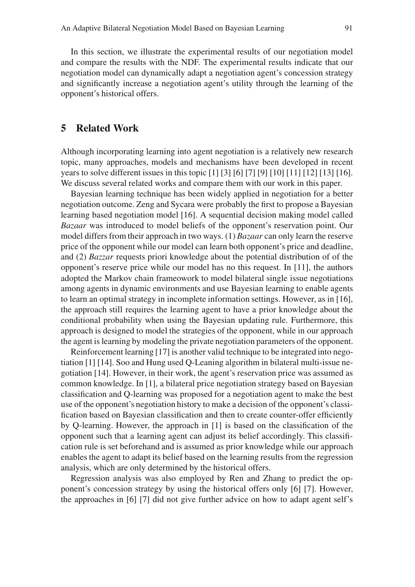In this section, we illustrate the experimental results of our negotiation model and compare the results with the NDF. The experimental results indicate that our negotiation model can dynamically adapt a negotiation agent's concession strategy and significantly increase a negotiation agent's utility through the learning of the opponent's historical offers.

## **5 Related Work**

Although incorporating learning into agent negotiation is a relatively new research topic, many approaches, models and mechanisms have been developed in recent years to solve different issues in this topic [1] [3] [6] [7] [9] [10] [11] [12] [13] [16]. We discuss several related works and compare them with our work in this paper.

Bayesian learning technique has been widely applied in negotiation for a better negotiation outcome. Zeng and Sycara were probably the first to propose a Bayesian learning based negotiation model [16]. A sequential decision making model called *Bazaar* was introduced to model beliefs of the opponent's reservation point. Our model differs from their approach in two ways. (1) *Bazaar* can only learn the reserve price of the opponent while our model can learn both opponent's price and deadline, and (2) *Bazzar* requests priori knowledge about the potential distribution of of the opponent's reserve price while our model has no this request. In [11], the authors adopted the Markov chain frameowork to model bilateral single issue negotiations among agents in dynamic environments and use Bayesian learning to enable agents to learn an optimal strategy in incomplete information settings. However, as in [16], the approach still requires the learning agent to have a prior knowledge about the conditional probability when using the Bayesian updating rule. Furthermore, this approach is designed to model the strategies of the opponent, while in our approach the agent is learning by modeling the private negotiation parameters of the opponent.

Reinforcement learning [17] is another valid technique to be integrated into negotiation [1] [14]. Soo and Hung used Q-Leaning algorithm in bilateral multi-issue negotiation [14]. However, in their work, the agent's reservation price was assumed as common knowledge. In [1], a bilateral price negotiation strategy based on Bayesian classification and Q-learning was proposed for a negotiation agent to make the best use of the opponent's negotiation history to make a decision of the opponent's classification based on Bayesian classification and then to create counter-offer efficiently by Q-learning. However, the approach in [1] is based on the classification of the opponent such that a learning agent can adjust its belief accordingly. This classification rule is set beforehand and is assumed as prior knowledge while our approach enables the agent to adapt its belief based on the learning results from the regression analysis, which are only determined by the historical offers.

Regression analysis was also employed by Ren and Zhang to predict the opponent's concession strategy by using the historical offers only [6] [7]. However, the approaches in [6] [7] did not give further advice on how to adapt agent self's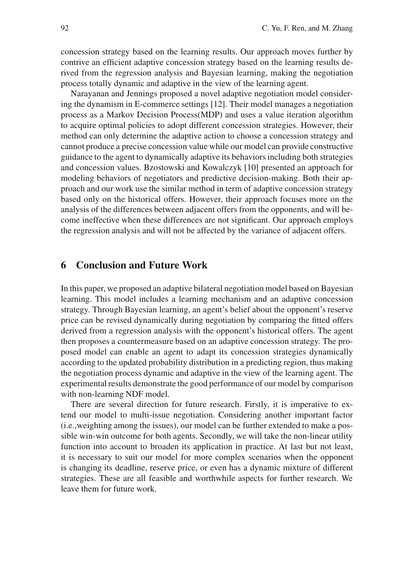concession strategy based on the learning results. Our approach moves further by contrive an efficient adaptive concession strategy based on the learning results derived from the regression analysis and Bayesian learning, making the negotiation process totally dynamic and adaptive in the view of the learning agent.

Narayanan and Jennings proposed a novel adaptive negotiation model considering the dynamism in E-commerce settings [12]. Their model manages a negotiation process as a Markov Decision Process(MDP) and uses a value iteration algorithm to acquire optimal policies to adopt different concession strategies. However, their method can only determine the adaptive action to choose a concession strategy and cannot produce a precise concession value while our model can provide constructive guidance to the agent to dynamically adaptive its behaviors including both strategies and concession values. Bzostowski and Kowalczyk [10] presented an approach for modeling behaviors of negotiators and predictive decision-making. Both their approach and our work use the similar method in term of adaptive concession strategy based only on the historical offers. However, their approach focuses more on the analysis of the differences between adjacent offers from the opponents, and will become ineffective when these differences are not significant. Our approach employs the regression analysis and will not be affected by the variance of adjacent offers.

## **6 Conclusion and Future Work**

In this paper, we proposed an adaptive bilateral negotiation model based on Bayesian learning. This model includes a learning mechanism and an adaptive concession strategy. Through Bayesian learning, an agent's belief about the opponent's reserve price can be revised dynamically during negotiation by comparing the fitted offers derived from a regression analysis with the opponent's historical offers. The agent then proposes a countermeasure based on an adaptive concession strategy. The proposed model can enable an agent to adapt its concession strategies dynamically according to the updated probability distribution in a predicting region, thus making the negotiation process dynamic and adaptive in the view of the learning agent. The experimental results demonstrate the good performance of our model by comparison with non-learning NDF model.

There are several direction for future research. Firstly, it is imperative to extend our model to multi-issue negotiation. Considering another important factor (i.e.,weighting among the issues), our model can be further extended to make a possible win-win outcome for both agents. Secondly, we will take the non-linear utility function into account to broaden its application in practice. At last but not least, it is necessary to suit our model for more complex scenarios when the opponent is changing its deadline, reserve price, or even has a dynamic mixture of different strategies. These are all feasible and worthwhile aspects for further research. We leave them for future work.